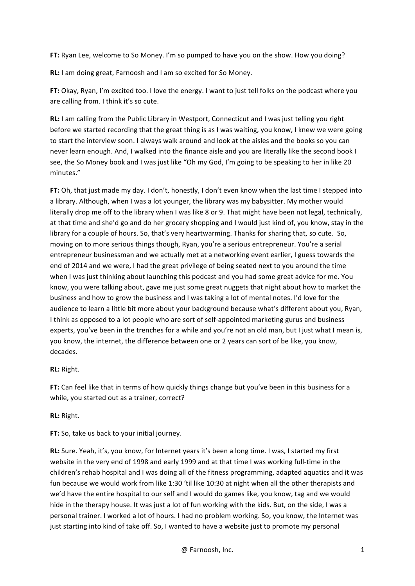**FT:** Ryan Lee, welcome to So Money. I'm so pumped to have you on the show. How you doing?

**RL:** I am doing great, Farnoosh and I am so excited for So Money.

**FT:** Okay, Ryan, I'm excited too. I love the energy. I want to just tell folks on the podcast where you are calling from. I think it's so cute.

**RL:** I am calling from the Public Library in Westport, Connecticut and I was just telling you right before we started recording that the great thing is as I was waiting, you know, I knew we were going to start the interview soon. I always walk around and look at the aisles and the books so you can never learn enough. And, I walked into the finance aisle and you are literally like the second book I see, the So Money book and I was just like "Oh my God, I'm going to be speaking to her in like 20 minutes."

**FT:** Oh, that just made my day. I don't, honestly, I don't even know when the last time I stepped into a library. Although, when I was a lot younger, the library was my babysitter. My mother would literally drop me off to the library when I was like 8 or 9. That might have been not legal, technically, at that time and she'd go and do her grocery shopping and I would just kind of, you know, stay in the library for a couple of hours. So, that's very heartwarming. Thanks for sharing that, so cute. So, moving on to more serious things though, Ryan, you're a serious entrepreneur. You're a serial entrepreneur businessman and we actually met at a networking event earlier, I guess towards the end of 2014 and we were, I had the great privilege of being seated next to you around the time when I was just thinking about launching this podcast and you had some great advice for me. You know, you were talking about, gave me just some great nuggets that night about how to market the business and how to grow the business and I was taking a lot of mental notes. I'd love for the audience to learn a little bit more about your background because what's different about you, Ryan, I think as opposed to a lot people who are sort of self-appointed marketing gurus and business experts, you've been in the trenches for a while and you're not an old man, but I just what I mean is, you know, the internet, the difference between one or 2 years can sort of be like, you know, decades.

**RL:** Right.

FT: Can feel like that in terms of how quickly things change but you've been in this business for a while, you started out as a trainer, correct?

**RL:** Right.

**FT:** So, take us back to your initial journey.

**RL:** Sure. Yeah, it's, you know, for Internet years it's been a long time. I was, I started my first website in the very end of 1998 and early 1999 and at that time I was working full-time in the children's rehab hospital and I was doing all of the fitness programming, adapted aquatics and it was fun because we would work from like 1:30 'til like 10:30 at night when all the other therapists and we'd have the entire hospital to our self and I would do games like, you know, tag and we would hide in the therapy house. It was just a lot of fun working with the kids. But, on the side, I was a personal trainer. I worked a lot of hours. I had no problem working. So, you know, the Internet was just starting into kind of take off. So, I wanted to have a website just to promote my personal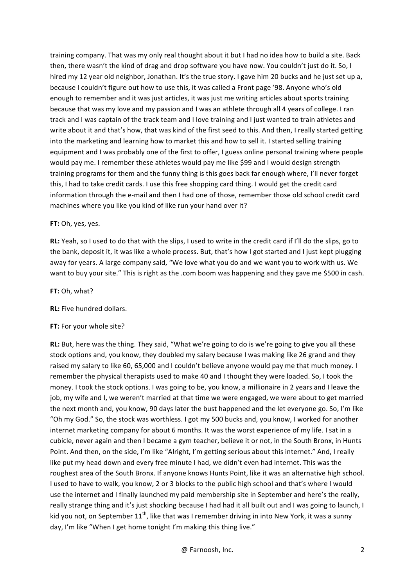training company. That was my only real thought about it but I had no idea how to build a site. Back then, there wasn't the kind of drag and drop software you have now. You couldn't just do it. So, I hired my 12 year old neighbor, Jonathan. It's the true story. I gave him 20 bucks and he just set up a, because I couldn't figure out how to use this, it was called a Front page '98. Anyone who's old enough to remember and it was just articles, it was just me writing articles about sports training because that was my love and my passion and I was an athlete through all 4 years of college. I ran track and I was captain of the track team and I love training and I just wanted to train athletes and write about it and that's how, that was kind of the first seed to this. And then, I really started getting into the marketing and learning how to market this and how to sell it. I started selling training equipment and I was probably one of the first to offer, I guess online personal training where people would pay me. I remember these athletes would pay me like \$99 and I would design strength training programs for them and the funny thing is this goes back far enough where, I'll never forget this, I had to take credit cards. I use this free shopping card thing. I would get the credit card information through the e-mail and then I had one of those, remember those old school credit card machines where you like you kind of like run your hand over it?

#### **FT:** Oh, yes, yes.

**RL:** Yeah, so I used to do that with the slips, I used to write in the credit card if I'll do the slips, go to the bank, deposit it, it was like a whole process. But, that's how I got started and I just kept plugging away for years. A large company said, "We love what you do and we want you to work with us. We want to buy your site." This is right as the .com boom was happening and they gave me \$500 in cash.

#### **FT: Oh. what?**

**RL:** Five hundred dollars.

## **FT:** For your whole site?

**RL:** But, here was the thing. They said, "What we're going to do is we're going to give you all these stock options and, you know, they doubled my salary because I was making like 26 grand and they raised my salary to like 60, 65,000 and I couldn't believe anyone would pay me that much money. I remember the physical therapists used to make 40 and I thought they were loaded. So, I took the money. I took the stock options. I was going to be, you know, a millionaire in 2 years and I leave the job, my wife and I, we weren't married at that time we were engaged, we were about to get married the next month and, you know, 90 days later the bust happened and the let everyone go. So, I'm like "Oh my God." So, the stock was worthless. I got my 500 bucks and, you know, I worked for another internet marketing company for about 6 months. It was the worst experience of my life. I sat in a cubicle, never again and then I became a gym teacher, believe it or not, in the South Bronx, in Hunts Point. And then, on the side, I'm like "Alright, I'm getting serious about this internet." And, I really like put my head down and every free minute I had, we didn't even had internet. This was the roughest area of the South Bronx. If anyone knows Hunts Point, like it was an alternative high school. I used to have to walk, you know, 2 or 3 blocks to the public high school and that's where I would use the internet and I finally launched my paid membership site in September and here's the really, really strange thing and it's just shocking because I had had it all built out and I was going to launch, I kid you not, on September  $11^{th}$ , like that was I remember driving in into New York, it was a sunny day, I'm like "When I get home tonight I'm making this thing live."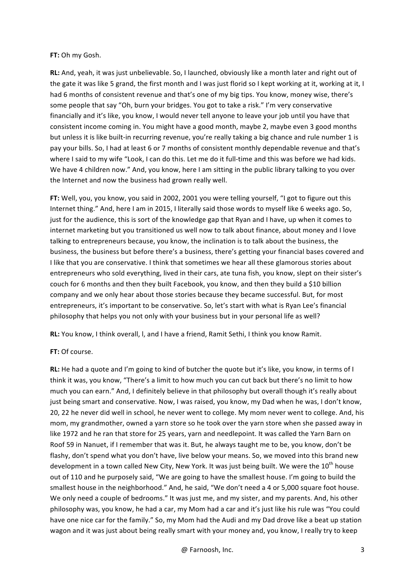#### **FT: Oh mv Gosh.**

**RL:** And, yeah, it was just unbelievable. So, I launched, obviously like a month later and right out of the gate it was like 5 grand, the first month and I was just florid so I kept working at it, working at it, I had 6 months of consistent revenue and that's one of my big tips. You know, money wise, there's some people that say "Oh, burn your bridges. You got to take a risk." I'm very conservative financially and it's like, you know, I would never tell anyone to leave your job until you have that consistent income coming in. You might have a good month, maybe 2, maybe even 3 good months but unless it is like built-in recurring revenue, you're really taking a big chance and rule number 1 is pay your bills. So, I had at least 6 or 7 months of consistent monthly dependable revenue and that's where I said to my wife "Look, I can do this. Let me do it full-time and this was before we had kids. We have 4 children now." And, you know, here I am sitting in the public library talking to you over the Internet and now the business had grown really well.

FT: Well, you, you know, you said in 2002, 2001 you were telling yourself, "I got to figure out this Internet thing." And, here I am in 2015, I literally said those words to myself like 6 weeks ago. So, just for the audience, this is sort of the knowledge gap that Ryan and I have, up when it comes to internet marketing but you transitioned us well now to talk about finance, about money and I love talking to entrepreneurs because, you know, the inclination is to talk about the business, the business, the business but before there's a business, there's getting your financial bases covered and I like that you are conservative. I think that sometimes we hear all these glamorous stories about entrepreneurs who sold everything, lived in their cars, ate tuna fish, you know, slept on their sister's couch for 6 months and then they built Facebook, you know, and then they build a \$10 billion company and we only hear about those stories because they became successful. But, for most entrepreneurs, it's important to be conservative. So, let's start with what is Ryan Lee's financial philosophy that helps you not only with your business but in your personal life as well?

**RL:** You know, I think overall, I, and I have a friend, Ramit Sethi, I think you know Ramit.

## **FT: Of course.**

**RL:** He had a quote and I'm going to kind of butcher the quote but it's like, you know, in terms of I think it was, you know, "There's a limit to how much you can cut back but there's no limit to how much you can earn." And, I definitely believe in that philosophy but overall though it's really about just being smart and conservative. Now, I was raised, you know, my Dad when he was, I don't know, 20, 22 he never did well in school, he never went to college. My mom never went to college. And, his mom, my grandmother, owned a yarn store so he took over the yarn store when she passed away in like 1972 and he ran that store for 25 years, yarn and needlepoint. It was called the Yarn Barn on Roof 59 in Nanuet, if I remember that was it. But, he always taught me to be, you know, don't be flashy, don't spend what you don't have, live below your means. So, we moved into this brand new development in a town called New City, New York. It was just being built. We were the 10<sup>th</sup> house out of 110 and he purposely said, "We are going to have the smallest house. I'm going to build the smallest house in the neighborhood." And, he said, "We don't need a 4 or 5,000 square foot house. We only need a couple of bedrooms." It was just me, and my sister, and my parents. And, his other philosophy was, you know, he had a car, my Mom had a car and it's just like his rule was "You could have one nice car for the family." So, my Mom had the Audi and my Dad drove like a beat up station wagon and it was just about being really smart with your money and, you know, I really try to keep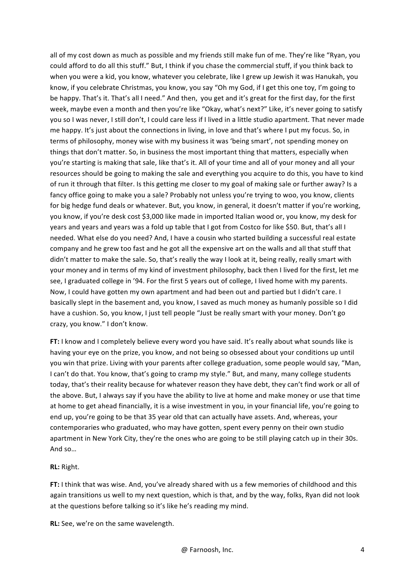all of my cost down as much as possible and my friends still make fun of me. They're like "Ryan, you could afford to do all this stuff." But, I think if you chase the commercial stuff, if you think back to when you were a kid, you know, whatever you celebrate, like I grew up Jewish it was Hanukah, you know, if you celebrate Christmas, you know, you say "Oh my God, if I get this one toy, I'm going to be happy. That's it. That's all I need." And then, you get and it's great for the first day, for the first week, maybe even a month and then you're like "Okay, what's next?" Like, it's never going to satisfy you so I was never, I still don't, I could care less if I lived in a little studio apartment. That never made me happy. It's just about the connections in living, in love and that's where I put my focus. So, in terms of philosophy, money wise with my business it was 'being smart', not spending money on things that don't matter. So, in business the most important thing that matters, especially when you're starting is making that sale, like that's it. All of your time and all of your money and all your resources should be going to making the sale and everything you acquire to do this, you have to kind of run it through that filter. Is this getting me closer to my goal of making sale or further away? Is a fancy office going to make you a sale? Probably not unless you're trying to woo, you know, clients for big hedge fund deals or whatever. But, you know, in general, it doesn't matter if you're working, you know, if you're desk cost \$3,000 like made in imported Italian wood or, you know, my desk for years and years and years was a fold up table that I got from Costco for like \$50. But, that's all I needed. What else do you need? And, I have a cousin who started building a successful real estate company and he grew too fast and he got all the expensive art on the walls and all that stuff that didn't matter to make the sale. So, that's really the way I look at it, being really, really smart with your money and in terms of my kind of investment philosophy, back then I lived for the first, let me see, I graduated college in '94. For the first 5 years out of college, I lived home with my parents. Now, I could have gotten my own apartment and had been out and partied but I didn't care. I basically slept in the basement and, you know, I saved as much money as humanly possible so I did have a cushion. So, you know, I just tell people "Just be really smart with your money. Don't go crazy, you know." I don't know.

**FT:** I know and I completely believe every word you have said. It's really about what sounds like is having your eye on the prize, you know, and not being so obsessed about your conditions up until you win that prize. Living with your parents after college graduation, some people would say, "Man, I can't do that. You know, that's going to cramp my style." But, and many, many college students today, that's their reality because for whatever reason they have debt, they can't find work or all of the above. But, I always say if you have the ability to live at home and make money or use that time at home to get ahead financially, it is a wise investment in you, in your financial life, you're going to end up, you're going to be that 35 year old that can actually have assets. And, whereas, your contemporaries who graduated, who may have gotten, spent every penny on their own studio apartment in New York City, they're the ones who are going to be still playing catch up in their 30s. And so...

**RL:** Right.

**FT:** I think that was wise. And, you've already shared with us a few memories of childhood and this again transitions us well to my next question, which is that, and by the way, folks, Ryan did not look at the questions before talking so it's like he's reading my mind.

**RL:** See, we're on the same wavelength.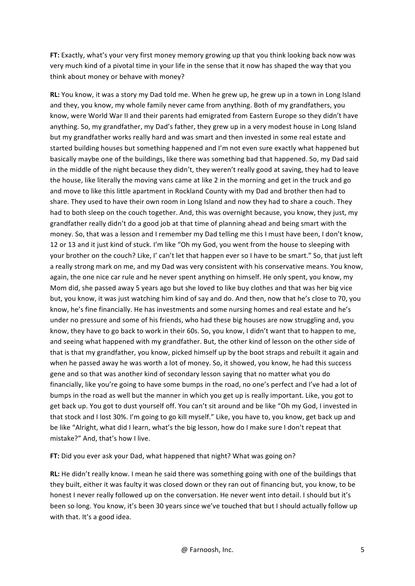**FT:** Exactly, what's your very first money memory growing up that you think looking back now was very much kind of a pivotal time in your life in the sense that it now has shaped the way that you think about money or behave with money?

**RL:** You know, it was a story my Dad told me. When he grew up, he grew up in a town in Long Island and they, you know, my whole family never came from anything. Both of my grandfathers, you know, were World War II and their parents had emigrated from Eastern Europe so they didn't have anything. So, my grandfather, my Dad's father, they grew up in a very modest house in Long Island but my grandfather works really hard and was smart and then invested in some real estate and started building houses but something happened and I'm not even sure exactly what happened but basically maybe one of the buildings, like there was something bad that happened. So, my Dad said in the middle of the night because they didn't, they weren't really good at saving, they had to leave the house, like literally the moving vans came at like 2 in the morning and get in the truck and go and move to like this little apartment in Rockland County with my Dad and brother then had to share. They used to have their own room in Long Island and now they had to share a couch. They had to both sleep on the couch together. And, this was overnight because, you know, they just, my grandfather really didn't do a good job at that time of planning ahead and being smart with the money. So, that was a lesson and I remember my Dad telling me this I must have been. I don't know, 12 or 13 and it just kind of stuck. I'm like "Oh my God, you went from the house to sleeping with your brother on the couch? Like, I' can't let that happen ever so I have to be smart." So, that just left a really strong mark on me, and my Dad was very consistent with his conservative means. You know, again, the one nice car rule and he never spent anything on himself. He only spent, you know, my Mom did, she passed away 5 years ago but she loved to like buy clothes and that was her big vice but, you know, it was just watching him kind of say and do. And then, now that he's close to 70, you know, he's fine financially. He has investments and some nursing homes and real estate and he's under no pressure and some of his friends, who had these big houses are now struggling and, you know, they have to go back to work in their 60s. So, you know, I didn't want that to happen to me, and seeing what happened with my grandfather. But, the other kind of lesson on the other side of that is that my grandfather, you know, picked himself up by the boot straps and rebuilt it again and when he passed away he was worth a lot of money. So, it showed, you know, he had this success gene and so that was another kind of secondary lesson saying that no matter what you do financially, like you're going to have some bumps in the road, no one's perfect and I've had a lot of bumps in the road as well but the manner in which you get up is really important. Like, you got to get back up. You got to dust yourself off. You can't sit around and be like "Oh my God, I invested in that stock and I lost 30%. I'm going to go kill myself." Like, you have to, you know, get back up and be like "Alright, what did I learn, what's the big lesson, how do I make sure I don't repeat that mistake?" And, that's how I live.

**FT:** Did you ever ask your Dad, what happened that night? What was going on?

**RL:** He didn't really know. I mean he said there was something going with one of the buildings that they built, either it was faulty it was closed down or they ran out of financing but, you know, to be honest I never really followed up on the conversation. He never went into detail. I should but it's been so long. You know, it's been 30 years since we've touched that but I should actually follow up with that. It's a good idea.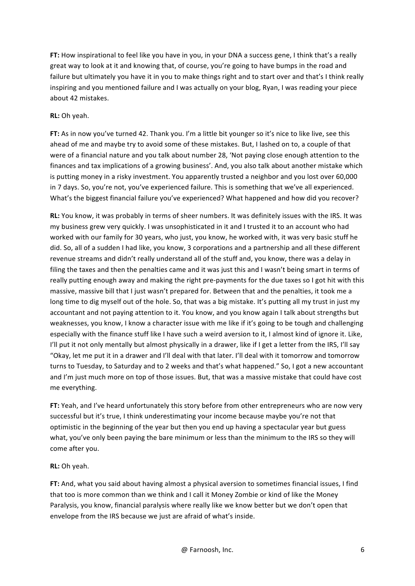**FT:** How inspirational to feel like you have in you, in your DNA a success gene, I think that's a really great way to look at it and knowing that, of course, you're going to have bumps in the road and failure but ultimately you have it in you to make things right and to start over and that's I think really inspiring and you mentioned failure and I was actually on your blog, Ryan, I was reading your piece about 42 mistakes.

# **RL:** Oh yeah.

FT: As in now you've turned 42. Thank you. I'm a little bit younger so it's nice to like live, see this ahead of me and maybe try to avoid some of these mistakes. But, I lashed on to, a couple of that were of a financial nature and you talk about number 28, 'Not paying close enough attention to the finances and tax implications of a growing business'. And, you also talk about another mistake which is putting money in a risky investment. You apparently trusted a neighbor and you lost over 60,000 in 7 days. So, you're not, you've experienced failure. This is something that we've all experienced. What's the biggest financial failure you've experienced? What happened and how did you recover?

**RL:** You know, it was probably in terms of sheer numbers. It was definitely issues with the IRS. It was my business grew very quickly. I was unsophisticated in it and I trusted it to an account who had worked with our family for 30 years, who just, you know, he worked with, it was very basic stuff he did. So, all of a sudden I had like, you know, 3 corporations and a partnership and all these different revenue streams and didn't really understand all of the stuff and, you know, there was a delay in filing the taxes and then the penalties came and it was just this and I wasn't being smart in terms of really putting enough away and making the right pre-payments for the due taxes so I got hit with this massive, massive bill that I just wasn't prepared for. Between that and the penalties, it took me a long time to dig myself out of the hole. So, that was a big mistake. It's putting all my trust in just my accountant and not paying attention to it. You know, and you know again I talk about strengths but weaknesses, you know, I know a character issue with me like if it's going to be tough and challenging especially with the finance stuff like I have such a weird aversion to it, I almost kind of ignore it. Like, I'll put it not only mentally but almost physically in a drawer, like if I get a letter from the IRS, I'll say "Okay, let me put it in a drawer and I'll deal with that later. I'll deal with it tomorrow and tomorrow turns to Tuesday, to Saturday and to 2 weeks and that's what happened." So, I got a new accountant and I'm just much more on top of those issues. But, that was a massive mistake that could have cost me everything.

**FT:** Yeah, and I've heard unfortunately this story before from other entrepreneurs who are now very successful but it's true, I think underestimating your income because maybe you're not that optimistic in the beginning of the year but then you end up having a spectacular year but guess what, you've only been paying the bare minimum or less than the minimum to the IRS so they will come after you.

## **RL:** Oh yeah.

**FT:** And, what you said about having almost a physical aversion to sometimes financial issues, I find that too is more common than we think and I call it Money Zombie or kind of like the Money Paralysis, you know, financial paralysis where really like we know better but we don't open that envelope from the IRS because we just are afraid of what's inside.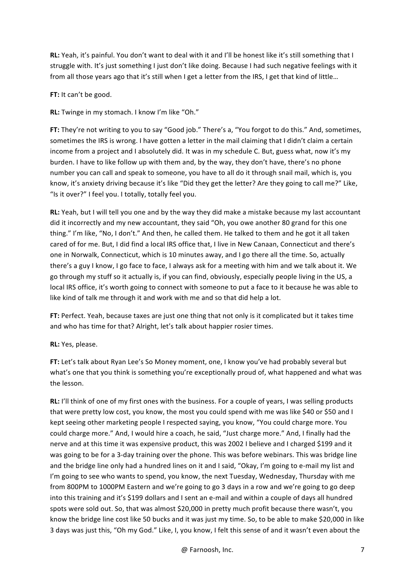**RL:** Yeah, it's painful. You don't want to deal with it and I'll be honest like it's still something that I struggle with. It's just something I just don't like doing. Because I had such negative feelings with it from all those years ago that it's still when I get a letter from the IRS, I get that kind of little...

# **FT:** It can't be good.

**RL:** Twinge in my stomach. I know I'm like "Oh."

**FT:** They're not writing to you to say "Good job." There's a, "You forgot to do this." And, sometimes, sometimes the IRS is wrong. I have gotten a letter in the mail claiming that I didn't claim a certain income from a project and I absolutely did. It was in my schedule C. But, guess what, now it's my burden. I have to like follow up with them and, by the way, they don't have, there's no phone number you can call and speak to someone, you have to all do it through snail mail, which is, you know, it's anxiety driving because it's like "Did they get the letter? Are they going to call me?" Like, "Is it over?" I feel you. I totally, totally feel you.

**RL:** Yeah, but I will tell you one and by the way they did make a mistake because my last accountant did it incorrectly and my new accountant, they said "Oh, you owe another 80 grand for this one thing." I'm like, "No, I don't." And then, he called them. He talked to them and he got it all taken cared of for me. But, I did find a local IRS office that, I live in New Canaan, Connecticut and there's one in Norwalk, Connecticut, which is 10 minutes away, and I go there all the time. So, actually there's a guy I know, I go face to face, I always ask for a meeting with him and we talk about it. We go through my stuff so it actually is, if you can find, obviously, especially people living in the US, a local IRS office, it's worth going to connect with someone to put a face to it because he was able to like kind of talk me through it and work with me and so that did help a lot.

FT: Perfect. Yeah, because taxes are just one thing that not only is it complicated but it takes time and who has time for that? Alright, let's talk about happier rosier times.

**RL:** Yes, please.

FT: Let's talk about Ryan Lee's So Money moment, one, I know you've had probably several but what's one that you think is something you're exceptionally proud of, what happened and what was the lesson.

**RL:** I'll think of one of my first ones with the business. For a couple of years, I was selling products that were pretty low cost, you know, the most you could spend with me was like \$40 or \$50 and I kept seeing other marketing people I respected saying, you know, "You could charge more. You could charge more." And, I would hire a coach, he said, "Just charge more." And, I finally had the nerve and at this time it was expensive product, this was 2002 I believe and I charged \$199 and it was going to be for a 3-day training over the phone. This was before webinars. This was bridge line and the bridge line only had a hundred lines on it and I said, "Okay, I'm going to e-mail my list and I'm going to see who wants to spend, you know, the next Tuesday, Wednesday, Thursday with me from 800PM to 1000PM Eastern and we're going to go 3 days in a row and we're going to go deep into this training and it's \$199 dollars and I sent an e-mail and within a couple of days all hundred spots were sold out. So, that was almost \$20,000 in pretty much profit because there wasn't, you know the bridge line cost like 50 bucks and it was just my time. So, to be able to make \$20,000 in like 3 days was just this, "Oh my God." Like, I, you know, I felt this sense of and it wasn't even about the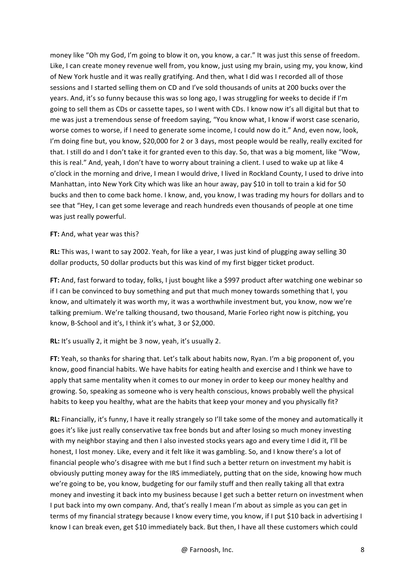money like "Oh my God, I'm going to blow it on, you know, a car." It was just this sense of freedom. Like, I can create money revenue well from, you know, just using my brain, using my, you know, kind of New York hustle and it was really gratifying. And then, what I did was I recorded all of those sessions and I started selling them on CD and I've sold thousands of units at 200 bucks over the years. And, it's so funny because this was so long ago, I was struggling for weeks to decide if I'm going to sell them as CDs or cassette tapes, so I went with CDs. I know now it's all digital but that to me was just a tremendous sense of freedom saying, "You know what, I know if worst case scenario, worse comes to worse, if I need to generate some income, I could now do it." And, even now, look, I'm doing fine but, you know, \$20,000 for 2 or 3 days, most people would be really, really excited for that. I still do and I don't take it for granted even to this day. So, that was a big moment, like "Wow, this is real." And, yeah, I don't have to worry about training a client. I used to wake up at like 4 o'clock in the morning and drive, I mean I would drive, I lived in Rockland County, I used to drive into Manhattan, into New York City which was like an hour away, pay \$10 in toll to train a kid for 50 bucks and then to come back home. I know, and, you know, I was trading my hours for dollars and to see that "Hey, I can get some leverage and reach hundreds even thousands of people at one time was just really powerful.

## **FT:** And, what year was this?

**RL:** This was, I want to say 2002. Yeah, for like a year, I was just kind of plugging away selling 30 dollar products, 50 dollar products but this was kind of my first bigger ticket product.

FT: And, fast forward to today, folks, I just bought like a \$997 product after watching one webinar so if I can be convinced to buy something and put that much money towards something that I, you know, and ultimately it was worth my, it was a worthwhile investment but, you know, now we're talking premium. We're talking thousand, two thousand, Marie Forleo right now is pitching, you know, B-School and it's, I think it's what, 3 or \$2,000.

**RL:** It's usually 2, it might be 3 now, yeah, it's usually 2.

**FT:** Yeah, so thanks for sharing that. Let's talk about habits now, Ryan. I'm a big proponent of, you know, good financial habits. We have habits for eating health and exercise and I think we have to apply that same mentality when it comes to our money in order to keep our money healthy and growing. So, speaking as someone who is very health conscious, knows probably well the physical habits to keep you healthy, what are the habits that keep your money and you physically fit?

**RL:** Financially, it's funny, I have it really strangely so I'll take some of the money and automatically it goes it's like just really conservative tax free bonds but and after losing so much money investing with my neighbor staying and then I also invested stocks years ago and every time I did it, I'll be honest, I lost money. Like, every and it felt like it was gambling. So, and I know there's a lot of financial people who's disagree with me but I find such a better return on investment my habit is obviously putting money away for the IRS immediately, putting that on the side, knowing how much we're going to be, you know, budgeting for our family stuff and then really taking all that extra money and investing it back into my business because I get such a better return on investment when I put back into my own company. And, that's really I mean I'm about as simple as you can get in terms of my financial strategy because I know every time, you know, if I put \$10 back in advertising I know I can break even, get \$10 immediately back. But then, I have all these customers which could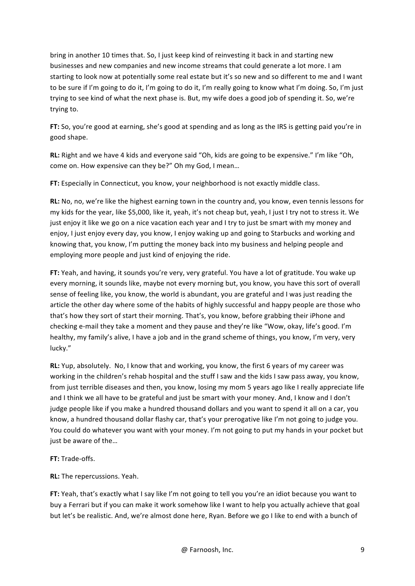bring in another 10 times that. So, I just keep kind of reinvesting it back in and starting new businesses and new companies and new income streams that could generate a lot more. I am starting to look now at potentially some real estate but it's so new and so different to me and I want to be sure if I'm going to do it, I'm going to do it, I'm really going to know what I'm doing. So, I'm just trying to see kind of what the next phase is. But, my wife does a good job of spending it. So, we're trying to.

**FT:** So, you're good at earning, she's good at spending and as long as the IRS is getting paid you're in good shape.

**RL:** Right and we have 4 kids and everyone said "Oh, kids are going to be expensive." I'm like "Oh, come on. How expensive can they be?" Oh my God, I mean...

**FT:** Especially in Connecticut, you know, your neighborhood is not exactly middle class.

RL: No, no, we're like the highest earning town in the country and, you know, even tennis lessons for my kids for the year, like \$5,000, like it, yeah, it's not cheap but, yeah, I just I try not to stress it. We just enjoy it like we go on a nice vacation each year and I try to just be smart with my money and enjoy, I just enjoy every day, you know, I enjoy waking up and going to Starbucks and working and knowing that, you know, I'm putting the money back into my business and helping people and employing more people and just kind of enjoying the ride.

**FT:** Yeah, and having, it sounds you're very, very grateful. You have a lot of gratitude. You wake up every morning, it sounds like, maybe not every morning but, you know, you have this sort of overall sense of feeling like, you know, the world is abundant, you are grateful and I was just reading the article the other day where some of the habits of highly successful and happy people are those who that's how they sort of start their morning. That's, you know, before grabbing their iPhone and checking e-mail they take a moment and they pause and they're like "Wow, okay, life's good. I'm healthy, my family's alive, I have a job and in the grand scheme of things, you know, I'm very, very lucky."

**RL:** Yup, absolutely. No, I know that and working, you know, the first 6 years of my career was working in the children's rehab hospital and the stuff I saw and the kids I saw pass away, you know, from just terrible diseases and then, you know, losing my mom 5 years ago like I really appreciate life and I think we all have to be grateful and just be smart with your money. And, I know and I don't judge people like if you make a hundred thousand dollars and you want to spend it all on a car, you know, a hundred thousand dollar flashy car, that's your prerogative like I'm not going to judge you. You could do whatever you want with your money. I'm not going to put my hands in your pocket but just be aware of the...

**FT:** Trade-offs.

**RL:** The repercussions. Yeah.

**FT:** Yeah, that's exactly what I say like I'm not going to tell you you're an idiot because you want to buy a Ferrari but if you can make it work somehow like I want to help you actually achieve that goal but let's be realistic. And, we're almost done here, Ryan. Before we go I like to end with a bunch of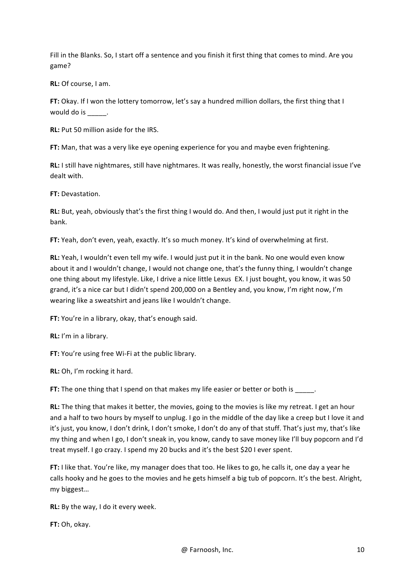Fill in the Blanks. So, I start off a sentence and you finish it first thing that comes to mind. Are you game? 

**RL:** Of course, I am.

**FT:** Okay. If I won the lottery tomorrow, let's say a hundred million dollars, the first thing that I would do is \_\_\_\_\_.

**RL:** Put 50 million aside for the IRS.

**FT:** Man, that was a very like eye opening experience for you and maybe even frightening.

**RL:** I still have nightmares, still have nightmares. It was really, honestly, the worst financial issue I've dealt with.

**FT:** Devastation.

**RL:** But, yeah, obviously that's the first thing I would do. And then, I would just put it right in the bank.

**FT:** Yeah, don't even, yeah, exactly. It's so much money. It's kind of overwhelming at first.

**RL:** Yeah, I wouldn't even tell my wife. I would just put it in the bank. No one would even know about it and I wouldn't change, I would not change one, that's the funny thing, I wouldn't change one thing about my lifestyle. Like, I drive a nice little Lexus EX. I just bought, you know, it was 50 grand, it's a nice car but I didn't spend 200,000 on a Bentley and, you know, I'm right now, I'm wearing like a sweatshirt and jeans like I wouldn't change.

**FT:** You're in a library, okay, that's enough said.

**RL:** I'm in a library.

**FT:** You're using free Wi-Fi at the public library.

**RL:** Oh, I'm rocking it hard.

**FT:** The one thing that I spend on that makes my life easier or better or both is  $\blacksquare$ .

**RL:** The thing that makes it better, the movies, going to the movies is like my retreat. I get an hour and a half to two hours by myself to unplug. I go in the middle of the day like a creep but I love it and it's just, you know, I don't drink, I don't smoke, I don't do any of that stuff. That's just my, that's like my thing and when I go, I don't sneak in, you know, candy to save money like I'll buy popcorn and I'd treat myself. I go crazy. I spend my 20 bucks and it's the best \$20 I ever spent.

FT: I like that. You're like, my manager does that too. He likes to go, he calls it, one day a year he calls hooky and he goes to the movies and he gets himself a big tub of popcorn. It's the best. Alright, my biggest…

**RL:** By the way, I do it every week.

**FT:** Oh, okay.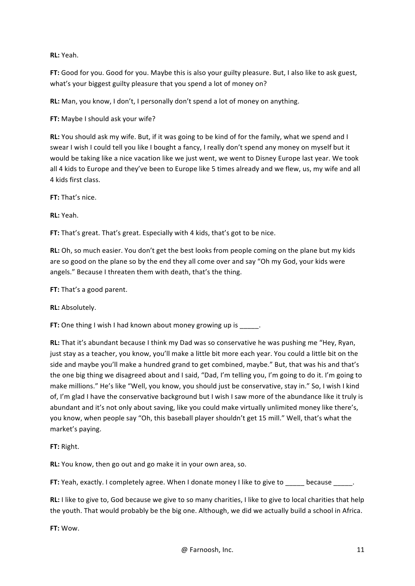**RL:** Yeah.

**FT:** Good for you. Good for you. Maybe this is also your guilty pleasure. But, I also like to ask guest, what's your biggest guilty pleasure that you spend a lot of money on?

**RL:** Man, you know, I don't, I personally don't spend a lot of money on anything.

**FT:** Maybe I should ask your wife?

**RL:** You should ask my wife. But, if it was going to be kind of for the family, what we spend and I swear I wish I could tell you like I bought a fancy, I really don't spend any money on myself but it would be taking like a nice vacation like we just went, we went to Disney Europe last year. We took all 4 kids to Europe and they've been to Europe like 5 times already and we flew, us, my wife and all 4 kids first class.

**FT:** That's nice.

**RL:** Yeah.

**FT:** That's great. That's great. Especially with 4 kids, that's got to be nice.

**RL:** Oh, so much easier. You don't get the best looks from people coming on the plane but my kids are so good on the plane so by the end they all come over and say "Oh my God, your kids were angels." Because I threaten them with death, that's the thing.

**FT:** That's a good parent.

**RL:** Absolutely.

**FT:** One thing I wish I had known about money growing up is

**RL:** That it's abundant because I think my Dad was so conservative he was pushing me "Hey, Ryan, just stay as a teacher, you know, you'll make a little bit more each year. You could a little bit on the side and maybe you'll make a hundred grand to get combined, maybe." But, that was his and that's the one big thing we disagreed about and I said, "Dad, I'm telling you, I'm going to do it. I'm going to make millions." He's like "Well, you know, you should just be conservative, stay in." So, I wish I kind of, I'm glad I have the conservative background but I wish I saw more of the abundance like it truly is abundant and it's not only about saving, like you could make virtually unlimited money like there's, you know, when people say "Oh, this baseball player shouldn't get 15 mill." Well, that's what the market's paying.

**FT:** Right.

**RL:** You know, then go out and go make it in your own area, so.

**FT:** Yeah, exactly. I completely agree. When I donate money I like to give to \_\_\_\_\_\_ because

**RL:** I like to give to, God because we give to so many charities, I like to give to local charities that help the youth. That would probably be the big one. Although, we did we actually build a school in Africa.

**FT:** Wow.